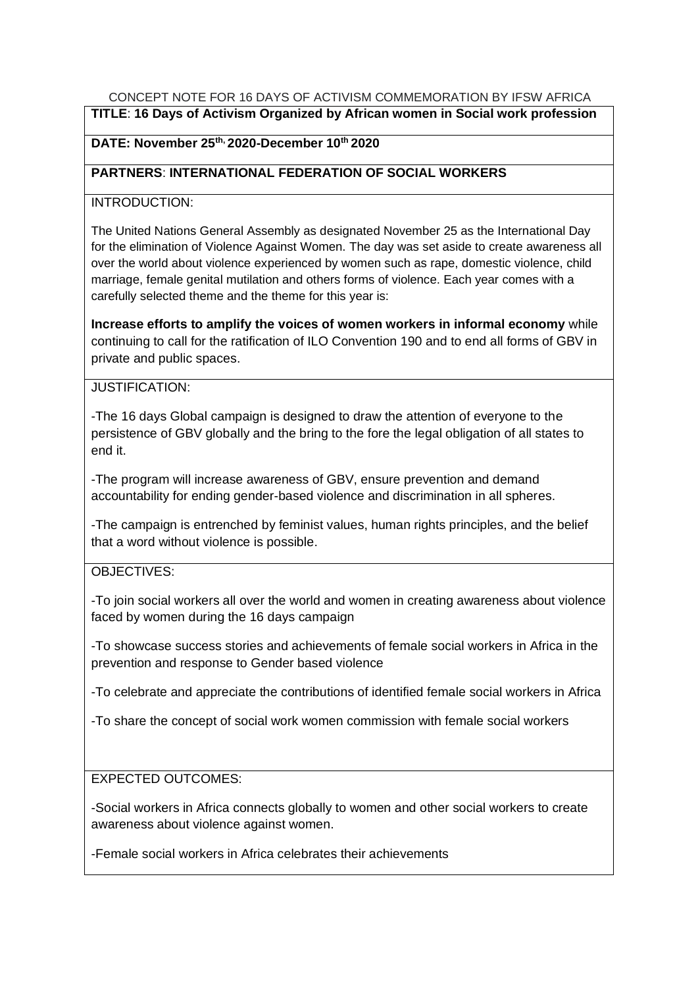## CONCEPT NOTE FOR 16 DAYS OF ACTIVISM COMMEMORATION BY IFSW AFRICA

**TITLE**: **16 Days of Activism Organized by African women in Social work profession**

## **DATE: November 25th, 2020-December 10th 2020**

## **PARTNERS**: **INTERNATIONAL FEDERATION OF SOCIAL WORKERS**

## INTRODUCTION:

The United Nations General Assembly as designated November 25 as the International Day for the elimination of Violence Against Women. The day was set aside to create awareness all over the world about violence experienced by women such as rape, domestic violence, child marriage, female genital mutilation and others forms of violence. Each year comes with a carefully selected theme and the theme for this year is:

**Increase efforts to amplify the voices of women workers in informal economy** while continuing to call for the ratification of ILO Convention 190 and to end all forms of GBV in private and public spaces.

# JUSTIFICATION:

-The 16 days Global campaign is designed to draw the attention of everyone to the persistence of GBV globally and the bring to the fore the legal obligation of all states to end it.

-The program will increase awareness of GBV, ensure prevention and demand accountability for ending gender-based violence and discrimination in all spheres.

-The campaign is entrenched by feminist values, human rights principles, and the belief that a word without violence is possible.

# OBJECTIVES:

-To join social workers all over the world and women in creating awareness about violence faced by women during the 16 days campaign

-To showcase success stories and achievements of female social workers in Africa in the prevention and response to Gender based violence

-To celebrate and appreciate the contributions of identified female social workers in Africa

-To share the concept of social work women commission with female social workers

### EXPECTED OUTCOMES:

-Social workers in Africa connects globally to women and other social workers to create awareness about violence against women.

-Female social workers in Africa celebrates their achievements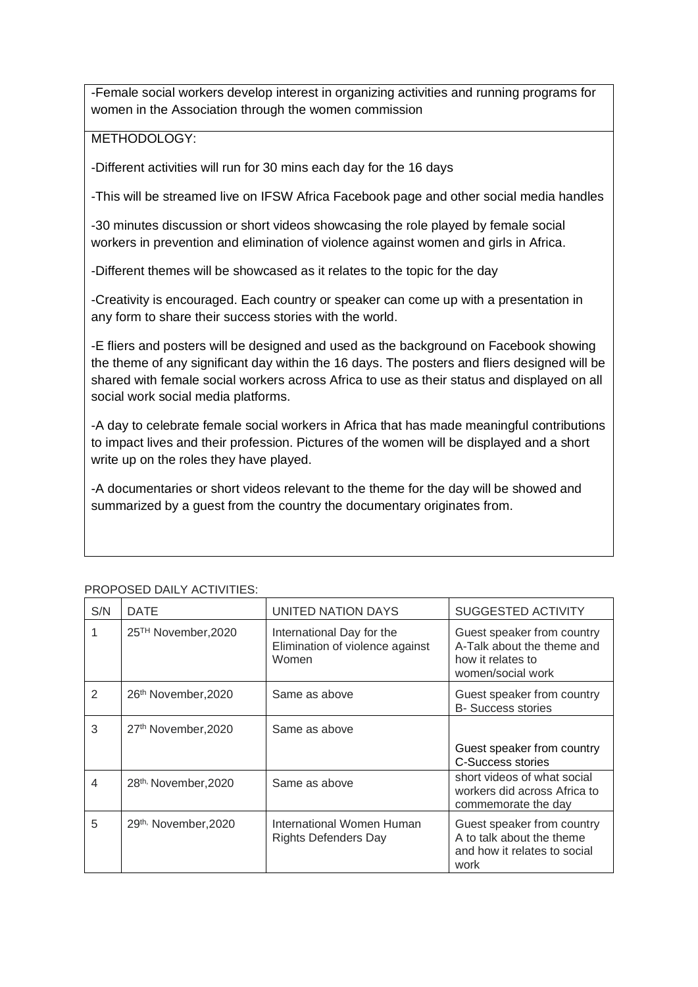-Female social workers develop interest in organizing activities and running programs for women in the Association through the women commission

#### METHODOLOGY:

-Different activities will run for 30 mins each day for the 16 days

-This will be streamed live on IFSW Africa Facebook page and other social media handles

-30 minutes discussion or short videos showcasing the role played by female social workers in prevention and elimination of violence against women and girls in Africa.

-Different themes will be showcased as it relates to the topic for the day

-Creativity is encouraged. Each country or speaker can come up with a presentation in any form to share their success stories with the world.

-E fliers and posters will be designed and used as the background on Facebook showing the theme of any significant day within the 16 days. The posters and fliers designed will be shared with female social workers across Africa to use as their status and displayed on all social work social media platforms.

-A day to celebrate female social workers in Africa that has made meaningful contributions to impact lives and their profession. Pictures of the women will be displayed and a short write up on the roles they have played.

-A documentaries or short videos relevant to the theme for the day will be showed and summarized by a guest from the country the documentary originates from.

| S/N            | <b>DATE</b>                      | UNITED NATION DAYS                                                    | <b>SUGGESTED ACTIVITY</b>                                                                          |
|----------------|----------------------------------|-----------------------------------------------------------------------|----------------------------------------------------------------------------------------------------|
|                | 25 <sup>TH</sup> November, 2020  | International Day for the<br>Elimination of violence against<br>Women | Guest speaker from country<br>A-Talk about the theme and<br>how it relates to<br>women/social work |
| $\mathfrak{D}$ | 26th November, 2020              | Same as above                                                         | Guest speaker from country<br><b>B-</b> Success stories                                            |
| 3              | 27th November, 2020              | Same as above                                                         |                                                                                                    |
|                |                                  |                                                                       | Guest speaker from country<br>C-Success stories                                                    |
| 4              | 28 <sup>th,</sup> November, 2020 | Same as above                                                         | short videos of what social<br>workers did across Africa to<br>commemorate the day                 |
| 5              | 29th, November, 2020             | International Women Human<br>Rights Defenders Day                     | Guest speaker from country<br>A to talk about the theme<br>and how it relates to social<br>work    |

#### PROPOSED DAILY ACTIVITIES: